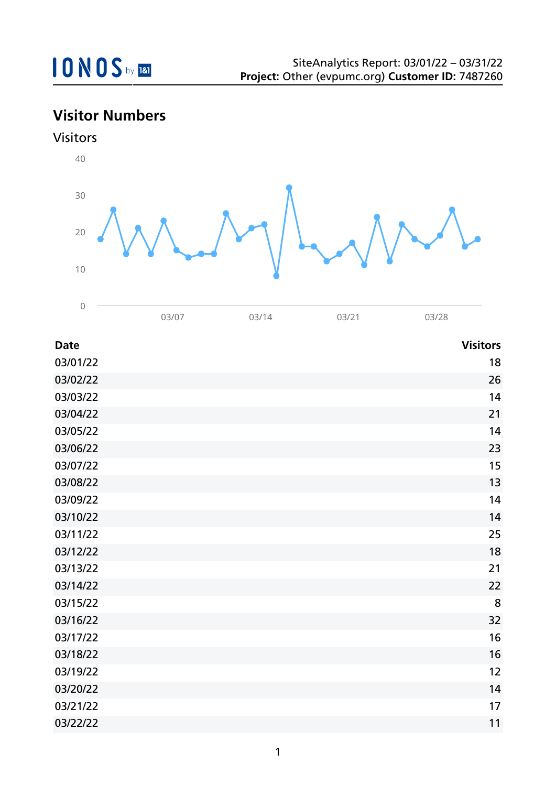## **Visitor Numbers**



| <b>Date</b> | <b>Visitors</b> |
|-------------|-----------------|
| 03/01/22    | 18              |
| 03/02/22    | 26              |
| 03/03/22    | 14              |
| 03/04/22    | 21              |
| 03/05/22    | 14              |
| 03/06/22    | 23              |
| 03/07/22    | 15              |
| 03/08/22    | 13              |
| 03/09/22    | 14              |
| 03/10/22    | 14              |
| 03/11/22    | 25              |
| 03/12/22    | 18              |
| 03/13/22    | 21              |
| 03/14/22    | 22              |
| 03/15/22    | 8               |
| 03/16/22    | 32              |
| 03/17/22    | 16              |
| 03/18/22    | 16              |
| 03/19/22    | 12              |
| 03/20/22    | 14              |
| 03/21/22    | 17              |
| 03/22/22    | 11              |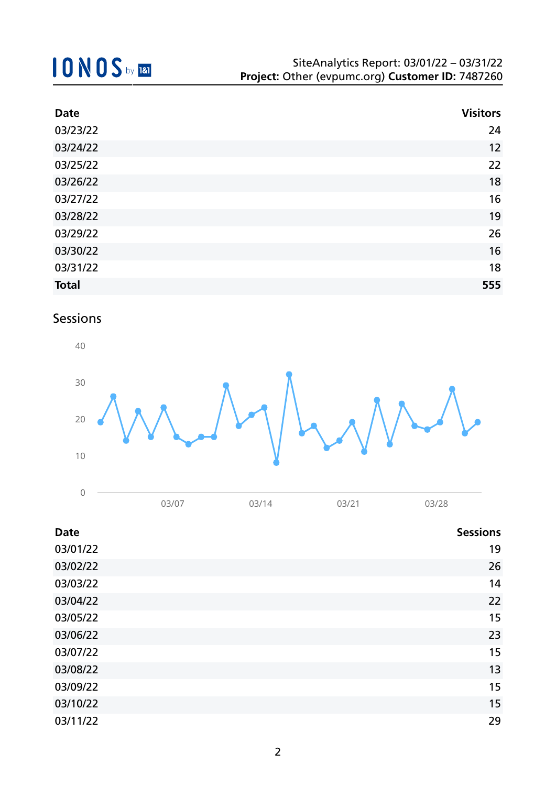## **10NOS** by REI

| <b>Date</b>  | <b>Visitors</b> |
|--------------|-----------------|
| 03/23/22     | 24              |
| 03/24/22     | 12              |
| 03/25/22     | 22              |
| 03/26/22     | 18              |
| 03/27/22     | 16              |
| 03/28/22     | 19              |
| 03/29/22     | 26              |
| 03/30/22     | 16              |
| 03/31/22     | 18              |
| <b>Total</b> | 555             |

## Sessions



| <b>Date</b> | <b>Sessions</b> |
|-------------|-----------------|
|             |                 |
| 03/01/22    | 19              |
| 03/02/22    | 26              |
| 03/03/22    | 14              |
| 03/04/22    | 22              |
| 03/05/22    | 15              |
| 03/06/22    | 23              |
| 03/07/22    | 15              |
| 03/08/22    | 13              |
| 03/09/22    | 15              |
| 03/10/22    | 15              |
| 03/11/22    | 29              |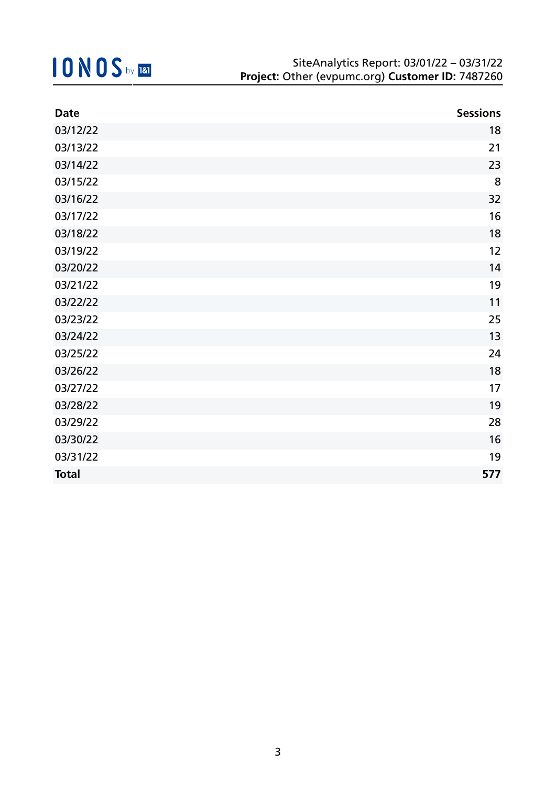| <b>Date</b>  | <b>Sessions</b> |
|--------------|-----------------|
| 03/12/22     | 18              |
| 03/13/22     | 21              |
| 03/14/22     | 23              |
| 03/15/22     | 8               |
| 03/16/22     | 32              |
| 03/17/22     | 16              |
| 03/18/22     | 18              |
| 03/19/22     | 12              |
| 03/20/22     | 14              |
| 03/21/22     | 19              |
| 03/22/22     | 11              |
| 03/23/22     | 25              |
| 03/24/22     | 13              |
| 03/25/22     | 24              |
| 03/26/22     | 18              |
| 03/27/22     | 17              |
| 03/28/22     | 19              |
| 03/29/22     | 28              |
| 03/30/22     | 16              |
| 03/31/22     | 19              |
| <b>Total</b> | 577             |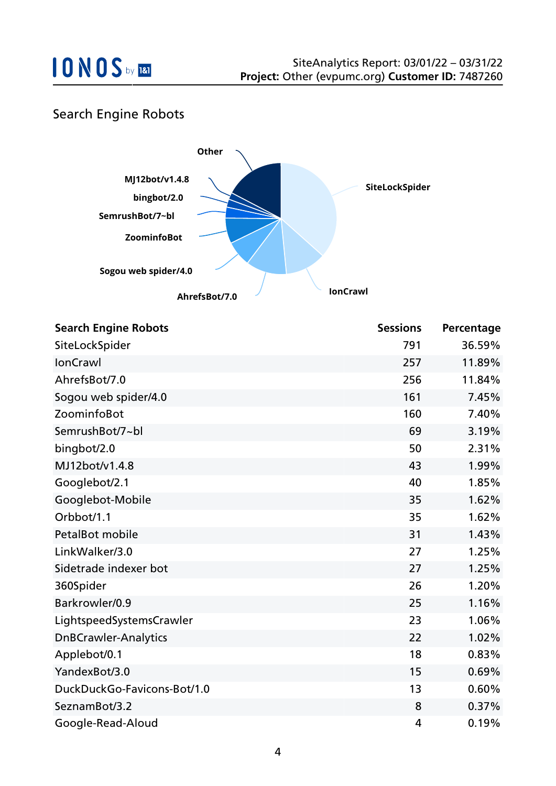### Search Engine Robots



| <b>Search Engine Robots</b> | <b>Sessions</b> | Percentage |
|-----------------------------|-----------------|------------|
| SiteLockSpider              | 791             | 36.59%     |
| <b>IonCrawl</b>             | 257             | 11.89%     |
| AhrefsBot/7.0               | 256             | 11.84%     |
| Sogou web spider/4.0        | 161             | 7.45%      |
| ZoominfoBot                 | 160             | 7.40%      |
| SemrushBot/7~bl             | 69              | 3.19%      |
| bingbot/2.0                 | 50              | 2.31%      |
| MJ12bot/v1.4.8              | 43              | 1.99%      |
| Googlebot/2.1               | 40              | 1.85%      |
| Googlebot-Mobile            | 35              | 1.62%      |
| Orbbot/1.1                  | 35              | 1.62%      |
| PetalBot mobile             | 31              | 1.43%      |
| LinkWalker/3.0              | 27              | 1.25%      |
| Sidetrade indexer bot       | 27              | 1.25%      |
| 360Spider                   | 26              | 1.20%      |
| Barkrowler/0.9              | 25              | 1.16%      |
| LightspeedSystemsCrawler    | 23              | 1.06%      |
| <b>DnBCrawler-Analytics</b> | 22              | 1.02%      |
| Applebot/0.1                | 18              | 0.83%      |
| YandexBot/3.0               | 15              | 0.69%      |
| DuckDuckGo-Favicons-Bot/1.0 | 13              | 0.60%      |
| SeznamBot/3.2               | 8               | 0.37%      |
| Google-Read-Aloud           | 4               | 0.19%      |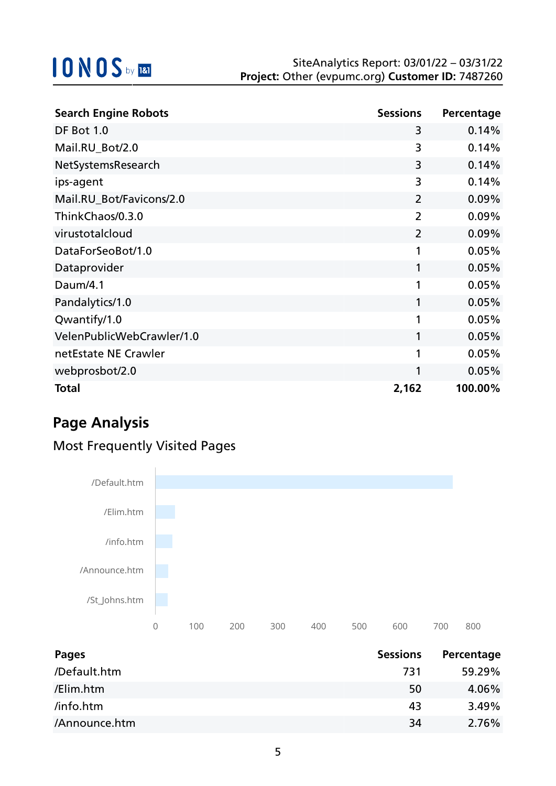| <b>Search Engine Robots</b> | <b>Sessions</b> | Percentage |
|-----------------------------|-----------------|------------|
| DF Bot 1.0                  | 3               | 0.14%      |
| Mail.RU_Bot/2.0             | 3               | 0.14%      |
| NetSystemsResearch          | 3               | 0.14%      |
| ips-agent                   | 3               | 0.14%      |
| Mail.RU_Bot/Favicons/2.0    | $\overline{2}$  | 0.09%      |
| ThinkChaos/0.3.0            | $\overline{2}$  | 0.09%      |
| virustotalcloud             | $\overline{2}$  | 0.09%      |
| DataForSeoBot/1.0           | 1               | 0.05%      |
| Dataprovider                | 1               | 0.05%      |
| Daum/4.1                    | 1               | 0.05%      |
| Pandalytics/1.0             | 1               | 0.05%      |
| Qwantify/1.0                | 1               | 0.05%      |
| VelenPublicWebCrawler/1.0   | 1               | 0.05%      |
| netEstate NE Crawler        | 1               | 0.05%      |
| webprosbot/2.0              | 1               | 0.05%      |
| <b>Total</b>                | 2,162           | 100.00%    |

## **Page Analysis**

### Most Frequently Visited Pages



| Pages         | <b>Sessions</b> | Percentage |
|---------------|-----------------|------------|
| /Default.htm  | 731             | 59.29%     |
| /Elim.htm     | 50              | 4.06%      |
| /info.htm     | 43              | 3.49%      |
| /Announce.htm | 34              | 2.76%      |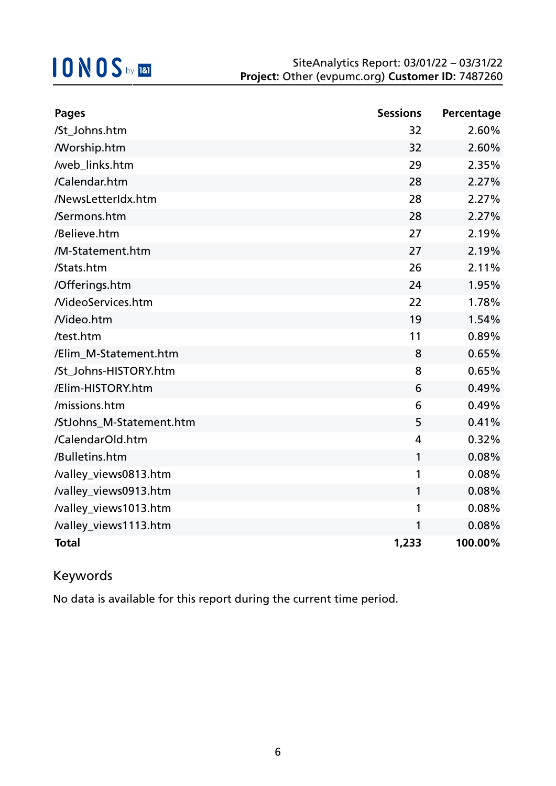| <b>Pages</b>             | <b>Sessions</b> | Percentage |
|--------------------------|-----------------|------------|
| /St_Johns.htm            | 32              | 2.60%      |
| <b>Morship.htm</b>       | 32              | 2.60%      |
| /web_links.htm           | 29              | 2.35%      |
| /Calendar.htm            | 28              | 2.27%      |
| /NewsLetterIdx.htm       | 28              | 2.27%      |
| /Sermons.htm             | 28              | 2.27%      |
| /Believe.htm             | 27              | 2.19%      |
| /M-Statement.htm         | 27              | 2.19%      |
| /Stats.htm               | 26              | 2.11%      |
| /Offerings.htm           | 24              | 1.95%      |
| <b>NideoServices.htm</b> | 22              | 1.78%      |
| Nideo.htm                | 19              | 1.54%      |
| /test.htm                | 11              | 0.89%      |
| /Elim M-Statement.htm    | 8               | 0.65%      |
| /St Johns-HISTORY.htm    | 8               | 0.65%      |
| /Elim-HISTORY.htm        | 6               | 0.49%      |
| /missions.htm            | 6               | 0.49%      |
| /StJohns_M-Statement.htm | 5               | 0.41%      |
| /CalendarOld.htm         | 4               | 0.32%      |
| /Bulletins.htm           | 1               | 0.08%      |
| /valley_views0813.htm    | 1               | 0.08%      |
| /valley_views0913.htm    | 1               | 0.08%      |
| /valley_views1013.htm    | 1               | 0.08%      |
| /valley_views1113.htm    | 1               | 0.08%      |
| <b>Total</b>             | 1,233           | 100.00%    |

### Keywords

No data is available for this report during the current time period.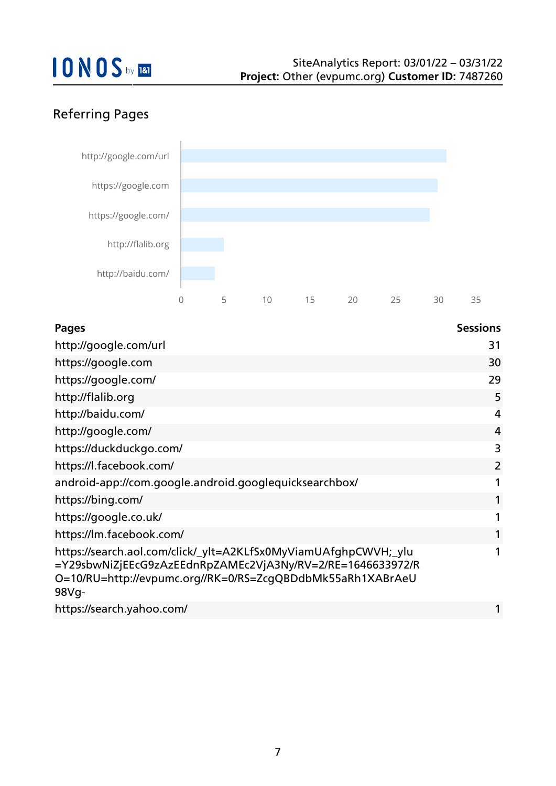## Referring Pages



| <b>Pages</b>                                                                                                                                                                                         | <b>Sessions</b> |
|------------------------------------------------------------------------------------------------------------------------------------------------------------------------------------------------------|-----------------|
| http://google.com/url                                                                                                                                                                                | 31              |
| https://google.com                                                                                                                                                                                   | 30              |
| https://google.com/                                                                                                                                                                                  | 29              |
| http://flalib.org                                                                                                                                                                                    | 5               |
| http://baidu.com/                                                                                                                                                                                    | 4               |
| http://google.com/                                                                                                                                                                                   | $\overline{4}$  |
| https://duckduckgo.com/                                                                                                                                                                              | 3               |
| https://l.facebook.com/                                                                                                                                                                              | $\overline{2}$  |
| android-app://com.google.android.googlequicksearchbox/                                                                                                                                               |                 |
| https://bing.com/                                                                                                                                                                                    |                 |
| https://google.co.uk/                                                                                                                                                                                |                 |
| https://lm.facebook.com/                                                                                                                                                                             |                 |
| https://search.aol.com/click/_ylt=A2KLfSx0MyViamUAfghpCWVH;_ylu<br>=Y29sbwNiZjEEcG9zAzEEdnRpZAMEc2VjA3Ny/RV=2/RE=1646633972/R<br>O=10/RU=http://evpumc.org//RK=0/RS=ZcgQBDdbMk55aRh1XABrAeU<br>98Vg- |                 |
| https://search.yahoo.com/                                                                                                                                                                            |                 |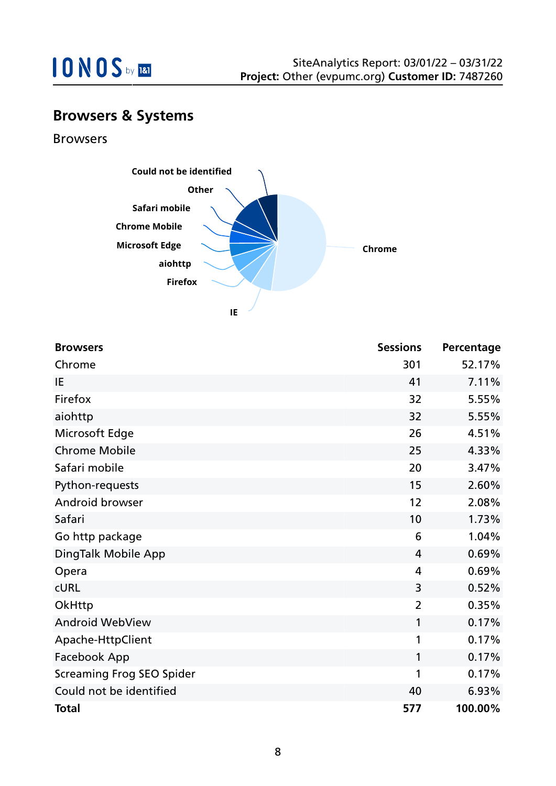

## **Browsers & Systems**

Browsers



| <b>Browsers</b>                  | <b>Sessions</b> | Percentage |
|----------------------------------|-----------------|------------|
| Chrome                           | 301             | 52.17%     |
| IE                               | 41              | 7.11%      |
| Firefox                          | 32              | 5.55%      |
| aiohttp                          | 32              | 5.55%      |
| Microsoft Edge                   | 26              | 4.51%      |
| <b>Chrome Mobile</b>             | 25              | 4.33%      |
| Safari mobile                    | 20              | 3.47%      |
| Python-requests                  | 15              | 2.60%      |
| Android browser                  | 12              | 2.08%      |
| Safari                           | 10              | 1.73%      |
| Go http package                  | 6               | 1.04%      |
| DingTalk Mobile App              | $\overline{4}$  | 0.69%      |
| Opera                            | $\overline{4}$  | 0.69%      |
| <b>CURL</b>                      | 3               | 0.52%      |
| OkHttp                           | $\overline{2}$  | 0.35%      |
| <b>Android WebView</b>           | 1               | 0.17%      |
| Apache-HttpClient                | 1               | 0.17%      |
| Facebook App                     | 1               | 0.17%      |
| <b>Screaming Frog SEO Spider</b> | 1               | 0.17%      |
| Could not be identified          | 40              | 6.93%      |
| <b>Total</b>                     | 577             | 100.00%    |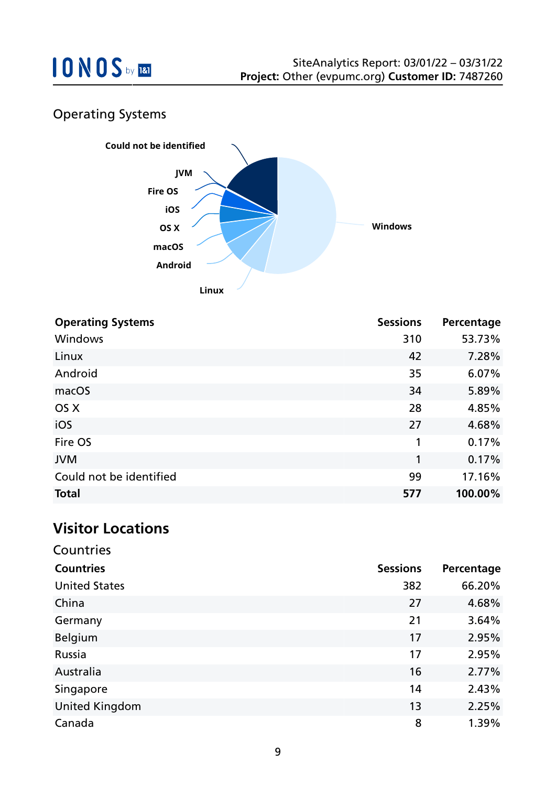

## Operating Systems



| <b>Operating Systems</b> | <b>Sessions</b> | Percentage |
|--------------------------|-----------------|------------|
| <b>Windows</b>           | 310             | 53.73%     |
| Linux                    | 42              | 7.28%      |
| Android                  | 35              | 6.07%      |
| macOS                    | 34              | 5.89%      |
| OS X                     | 28              | 4.85%      |
| iOS                      | 27              | 4.68%      |
| Fire OS                  | 1               | 0.17%      |
| <b>JVM</b>               | 1               | 0.17%      |
| Could not be identified  | 99              | 17.16%     |
| <b>Total</b>             | 577             | 100.00%    |

### **Visitor Locations**

| Countries             |                 |            |
|-----------------------|-----------------|------------|
| <b>Countries</b>      | <b>Sessions</b> | Percentage |
| <b>United States</b>  | 382             | 66.20%     |
| China                 | 27              | 4.68%      |
| Germany               | 21              | 3.64%      |
| Belgium               | 17              | 2.95%      |
| <b>Russia</b>         | 17              | 2.95%      |
| Australia             | 16              | 2.77%      |
| Singapore             | 14              | 2.43%      |
| <b>United Kingdom</b> | 13              | 2.25%      |
| Canada                | 8               | 1.39%      |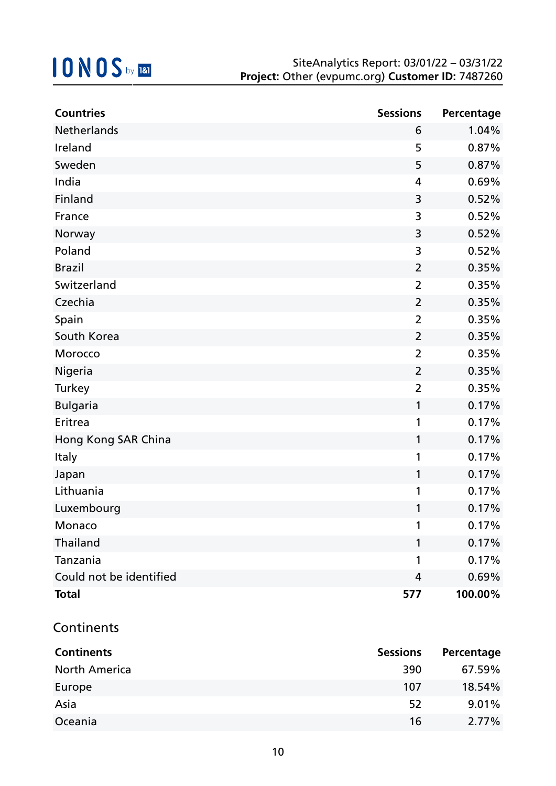| <b>Countries</b>        | <b>Sessions</b> | Percentage |
|-------------------------|-----------------|------------|
| Netherlands             | 6               | 1.04%      |
| Ireland                 | 5               | 0.87%      |
| Sweden                  | 5               | 0.87%      |
| India                   | 4               | 0.69%      |
| Finland                 | 3               | 0.52%      |
| France                  | 3               | 0.52%      |
| Norway                  | 3               | 0.52%      |
| Poland                  | 3               | 0.52%      |
| <b>Brazil</b>           | $\overline{2}$  | 0.35%      |
| Switzerland             | $\overline{2}$  | 0.35%      |
| Czechia                 | $\overline{2}$  | 0.35%      |
| Spain                   | $\overline{2}$  | 0.35%      |
| South Korea             | $\overline{2}$  | 0.35%      |
| Morocco                 | $\overline{2}$  | 0.35%      |
| Nigeria                 | $\overline{2}$  | 0.35%      |
| <b>Turkey</b>           | $\overline{2}$  | 0.35%      |
| <b>Bulgaria</b>         | 1               | 0.17%      |
| Eritrea                 | 1               | 0.17%      |
| Hong Kong SAR China     | 1               | 0.17%      |
| <b>Italy</b>            | 1               | 0.17%      |
| Japan                   | 1               | 0.17%      |
| Lithuania               | 1               | 0.17%      |
| Luxembourg              | 1               | 0.17%      |
| Monaco                  |                 | 0.17%      |
| Thailand                | 1               | 0.17%      |
| Tanzania                | 1               | 0.17%      |
| Could not be identified | 4               | 0.69%      |
| <b>Total</b>            | 577             | 100.00%    |

### **Continents**

| <b>Continents</b>    | <b>Sessions</b> | Percentage |
|----------------------|-----------------|------------|
| <b>North America</b> | 390             | 67.59%     |
| Europe               | 107             | 18.54%     |
| Asia                 | 52              | 9.01%      |
| Oceania              | 16              | $2.77\%$   |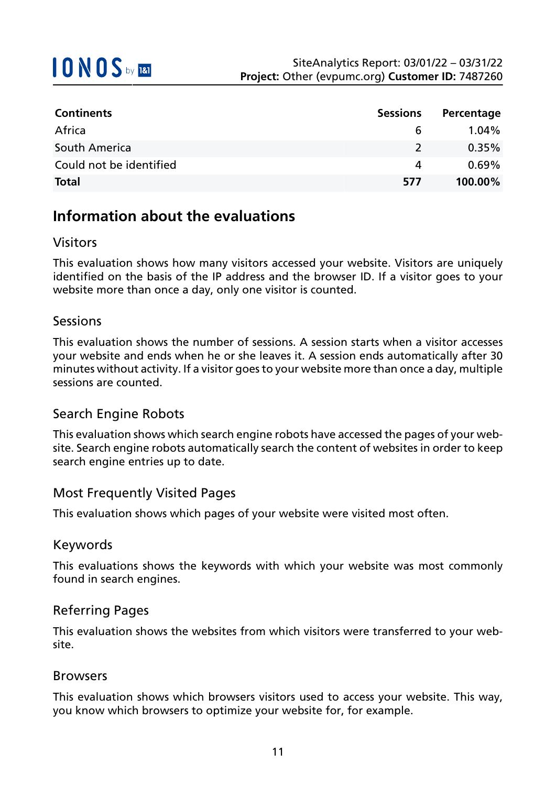| <b>Continents</b>       | <b>Sessions</b> | Percentage |
|-------------------------|-----------------|------------|
| Africa                  | $\mathbf b$     | $1.04\%$   |
| South America           | $\mathcal{L}$   | $0.35\%$   |
| Could not be identified | 4               | $0.69\%$   |
| <b>Total</b>            | 577             | 100.00%    |

## **Information about the evaluations**

### Visitors

This evaluation shows how many visitors accessed your website. Visitors are uniquely identified on the basis of the IP address and the browser ID. If a visitor goes to your website more than once a day, only one visitor is counted.

### Sessions

This evaluation shows the number of sessions. A session starts when a visitor accesses your website and ends when he or she leaves it. A session ends automatically after 30 minutes without activity. If a visitor goes to your website more than once a day, multiple sessions are counted.

### Search Engine Robots

This evaluation shows which search engine robots have accessed the pages of your website. Search engine robots automatically search the content of websites in order to keep search engine entries up to date.

### Most Frequently Visited Pages

This evaluation shows which pages of your website were visited most often.

#### Keywords

This evaluations shows the keywords with which your website was most commonly found in search engines.

### Referring Pages

This evaluation shows the websites from which visitors were transferred to your website.

#### Browsers

This evaluation shows which browsers visitors used to access your website. This way, you know which browsers to optimize your website for, for example.